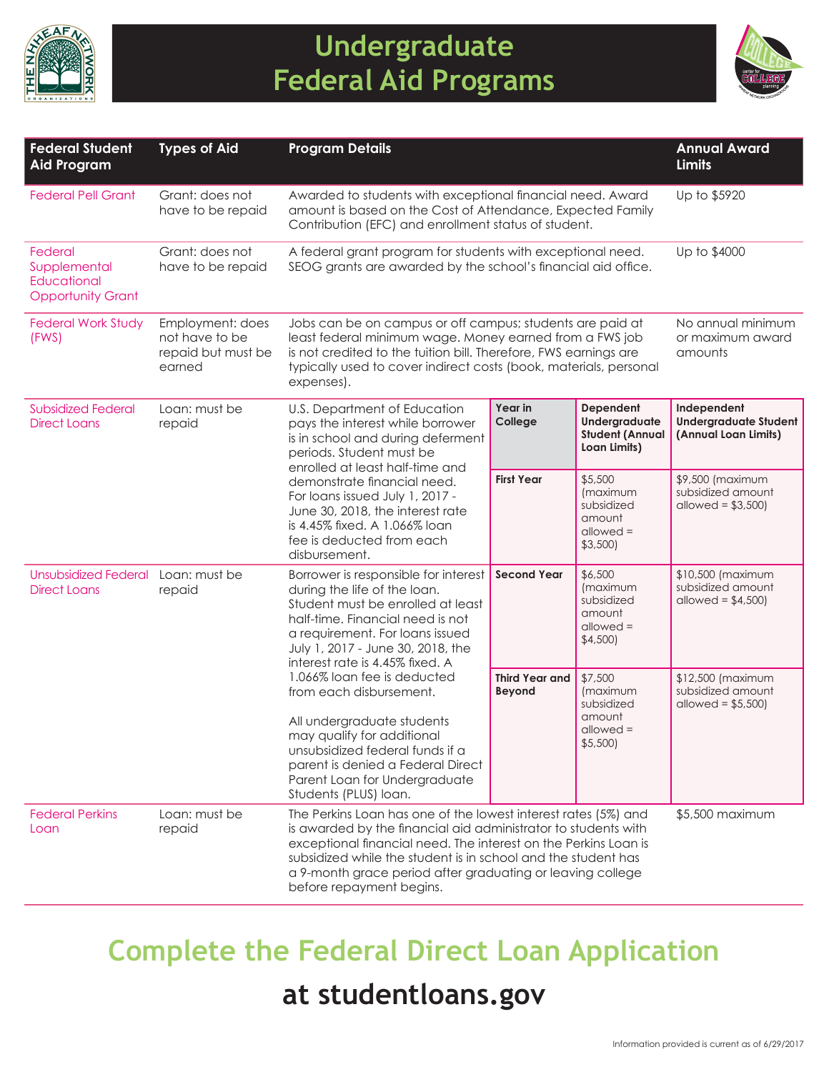

## **Undergraduate Federal Aid Programs**



| <b>Federal Student</b><br><b>Aid Program</b>                       | <b>Types of Aid</b>                                                | <b>Program Details</b>                                                                                                                                                                                                                                                                                                                                                                                                                                                                                           |                                                  |                                                                       | <b>Annual Award</b><br><b>Limits</b>                                |
|--------------------------------------------------------------------|--------------------------------------------------------------------|------------------------------------------------------------------------------------------------------------------------------------------------------------------------------------------------------------------------------------------------------------------------------------------------------------------------------------------------------------------------------------------------------------------------------------------------------------------------------------------------------------------|--------------------------------------------------|-----------------------------------------------------------------------|---------------------------------------------------------------------|
| <b>Federal Pell Grant</b>                                          | Grant: does not<br>have to be repaid                               | Awarded to students with exceptional financial need. Award<br>amount is based on the Cost of Attendance, Expected Family<br>Contribution (EFC) and enrollment status of student.                                                                                                                                                                                                                                                                                                                                 |                                                  |                                                                       | Up to \$5920                                                        |
| Federal<br>Supplemental<br>Educational<br><b>Opportunity Grant</b> | Grant: does not<br>have to be repaid                               | A federal grant program for students with exceptional need.<br>SEOG grants are awarded by the school's financial aid office.                                                                                                                                                                                                                                                                                                                                                                                     |                                                  |                                                                       | Up to \$4000                                                        |
| <b>Federal Work Study</b><br>(FWS)                                 | Employment: does<br>not have to be<br>repaid but must be<br>earned | Jobs can be on campus or off campus; students are paid at<br>least federal minimum wage. Money earned from a FWS job<br>is not credited to the tuition bill. Therefore, FWS earnings are<br>typically used to cover indirect costs (book, materials, personal<br>expenses).                                                                                                                                                                                                                                      | No annual minimum<br>or maximum award<br>amounts |                                                                       |                                                                     |
| <b>Subsidized Federal</b><br><b>Direct Loans</b>                   | Loan: must be<br>repaid                                            | U.S. Department of Education<br>pays the interest while borrower<br>is in school and during deferment<br>periods. Student must be<br>enrolled at least half-time and<br>demonstrate financial need.<br>For loans issued July 1, 2017 -<br>June 30, 2018, the interest rate<br>is 4.45% fixed. A 1.066% loan<br>fee is deducted from each<br>disbursement.                                                                                                                                                        | Year in<br>College                               | Dependent<br>Undergraduate<br><b>Student (Annual</b><br>Loan Limits)  | Independent<br><b>Undergraduate Student</b><br>(Annual Loan Limits) |
|                                                                    |                                                                    |                                                                                                                                                                                                                                                                                                                                                                                                                                                                                                                  | <b>First Year</b>                                | \$5,500<br>(maximum<br>subsidized<br>amount<br>$allowed =$<br>\$3,500 | \$9,500 (maximum<br>subsidized amount<br>allowed = $$3,500$         |
| <b>Unsubsidized Federal</b><br><b>Direct Loans</b>                 | Loan: must be<br>repaid                                            | Borrower is responsible for interest<br>during the life of the loan.<br>Student must be enrolled at least<br>half-time. Financial need is not<br>a requirement. For loans issued<br>July 1, 2017 - June 30, 2018, the<br>interest rate is 4.45% fixed. A<br>1.066% loan fee is deducted<br>from each disbursement.<br>All undergraduate students<br>may qualify for additional<br>unsubsidized federal funds if a<br>parent is denied a Federal Direct<br>Parent Loan for Undergraduate<br>Students (PLUS) loan. | <b>Second Year</b>                               | \$6,500<br>(maximum<br>subsidized<br>amount<br>$allowed =$<br>\$4,500 | \$10,500 (maximum<br>subsidized amount<br>allowed = $$4,500$        |
|                                                                    |                                                                    |                                                                                                                                                                                                                                                                                                                                                                                                                                                                                                                  | <b>Third Year and</b><br><b>Beyond</b>           | \$7,500<br>(maximum<br>subsidized<br>amount<br>$allowed =$<br>\$5,500 | \$12,500 (maximum<br>subsidized amount<br>allowed = $$5,500$ )      |
| <b>Federal Perkins</b><br>Loan                                     | Loan: must be<br>repaid                                            | The Perkins Loan has one of the lowest interest rates (5%) and<br>\$5,500 maximum<br>is awarded by the financial aid administrator to students with<br>exceptional financial need. The interest on the Perkins Loan is<br>subsidized while the student is in school and the student has<br>a 9-month grace period after graduating or leaving college<br>before repayment begins.                                                                                                                                |                                                  |                                                                       |                                                                     |

# **Complete the Federal Direct Loan Application**

### **at studentloans.gov**